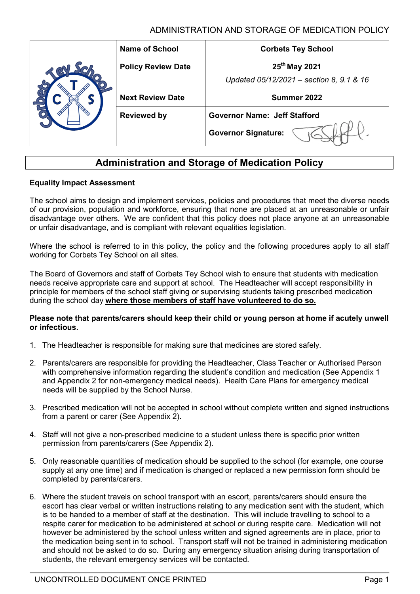| <b>Name of School</b>     | <b>Corbets Tey School</b>                |
|---------------------------|------------------------------------------|
| <b>Policy Review Date</b> | 25 <sup>th</sup> May 2021                |
|                           | Updated 05/12/2021 - section 8, 9.1 & 16 |
| <b>Next Review Date</b>   | Summer 2022                              |
| <b>Reviewed by</b>        | <b>Governor Name: Jeff Stafford</b>      |
|                           | <b>Governor Signature:</b>               |

# **Administration and Storage of Medication Policy**

#### **Equality Impact Assessment**

The school aims to design and implement services, policies and procedures that meet the diverse needs of our provision, population and workforce, ensuring that none are placed at an unreasonable or unfair disadvantage over others. We are confident that this policy does not place anyone at an unreasonable or unfair disadvantage, and is compliant with relevant equalities legislation.

Where the school is referred to in this policy, the policy and the following procedures apply to all staff working for Corbets Tey School on all sites.

The Board of Governors and staff of Corbets Tey School wish to ensure that students with medication needs receive appropriate care and support at school. The Headteacher will accept responsibility in principle for members of the school staff giving or supervising students taking prescribed medication during the school day **where those members of staff have volunteered to do so.**

#### **Please note that parents/carers should keep their child or young person at home if acutely unwell or infectious.**

- 1. The Headteacher is responsible for making sure that medicines are stored safely.
- 2. Parents/carers are responsible for providing the Headteacher, Class Teacher or Authorised Person with comprehensive information regarding the student's condition and medication (See Appendix 1 and Appendix 2 for non-emergency medical needs). Health Care Plans for emergency medical needs will be supplied by the School Nurse.
- 3. Prescribed medication will not be accepted in school without complete written and signed instructions from a parent or carer (See Appendix 2).
- 4. Staff will not give a non-prescribed medicine to a student unless there is specific prior written permission from parents/carers (See Appendix 2).
- 5. Only reasonable quantities of medication should be supplied to the school (for example, one course supply at any one time) and if medication is changed or replaced a new permission form should be completed by parents/carers.
- 6. Where the student travels on school transport with an escort, parents/carers should ensure the escort has clear verbal or written instructions relating to any medication sent with the student, which is to be handed to a member of staff at the destination. This will include travelling to school to a respite carer for medication to be administered at school or during respite care. Medication will not however be administered by the school unless written and signed agreements are in place, prior to the medication being sent in to school. Transport staff will not be trained in administering medication and should not be asked to do so. During any emergency situation arising during transportation of students, the relevant emergency services will be contacted.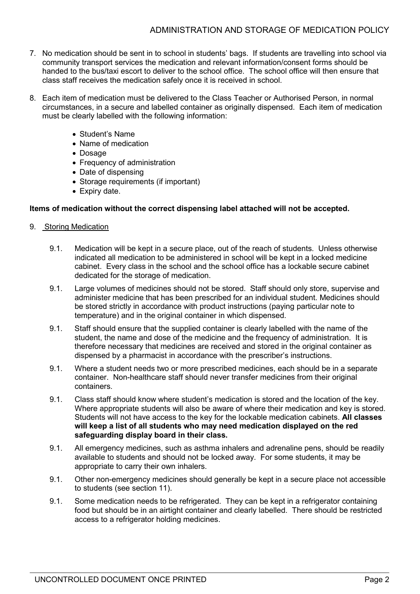- 7. No medication should be sent in to school in students' bags. If students are travelling into school via community transport services the medication and relevant information/consent forms should be handed to the bus/taxi escort to deliver to the school office. The school office will then ensure that class staff receives the medication safely once it is received in school.
- 8. Each item of medication must be delivered to the Class Teacher or Authorised Person, in normal circumstances, in a secure and labelled container as originally dispensed. Each item of medication must be clearly labelled with the following information:
	- Student's Name
	- Name of medication
	- Dosage
	- Frequency of administration
	- Date of dispensing
	- Storage requirements (if important)
	- Expiry date.

### **Items of medication without the correct dispensing label attached will not be accepted.**

#### 9. Storing Medication

- 9.1. Medication will be kept in a secure place, out of the reach of students. Unless otherwise indicated all medication to be administered in school will be kept in a locked medicine cabinet. Every class in the school and the school office has a lockable secure cabinet dedicated for the storage of medication.
- 9.1. Large volumes of medicines should not be stored. Staff should only store, supervise and administer medicine that has been prescribed for an individual student. Medicines should be stored strictly in accordance with product instructions (paying particular note to temperature) and in the original container in which dispensed.
- 9.1. Staff should ensure that the supplied container is clearly labelled with the name of the student, the name and dose of the medicine and the frequency of administration. It is therefore necessary that medicines are received and stored in the original container as dispensed by a pharmacist in accordance with the prescriber's instructions.
- 9.1. Where a student needs two or more prescribed medicines, each should be in a separate container. Non-healthcare staff should never transfer medicines from their original containers.
- 9.1. Class staff should know where student's medication is stored and the location of the key. Where appropriate students will also be aware of where their medication and key is stored. Students will not have access to the key for the lockable medication cabinets. **All classes will keep a list of all students who may need medication displayed on the red safeguarding display board in their class.**
- 9.1. All emergency medicines, such as asthma inhalers and adrenaline pens, should be readily available to students and should not be locked away. For some students, it may be appropriate to carry their own inhalers.
- 9.1. Other non-emergency medicines should generally be kept in a secure place not accessible to students (see section 11).
- 9.1. Some medication needs to be refrigerated. They can be kept in a refrigerator containing food but should be in an airtight container and clearly labelled. There should be restricted access to a refrigerator holding medicines.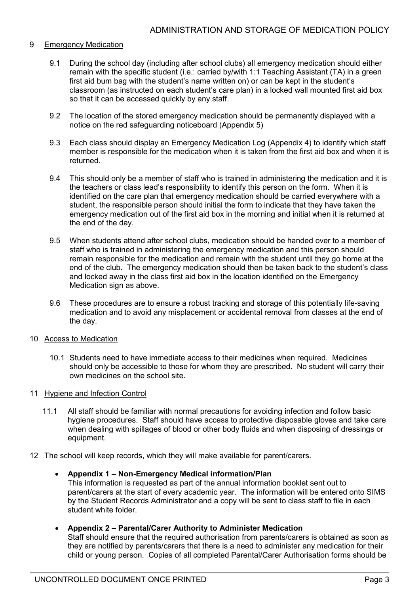#### 9 Emergency Medication

- 9.1 During the school day (including after school clubs) all emergency medication should either remain with the specific student (i.e.: carried by/with 1:1 Teaching Assistant (TA) in a green first aid bum bag with the student's name written on) or can be kept in the student's classroom (as instructed on each student's care plan) in a locked wall mounted first aid box so that it can be accessed quickly by any staff.
- 9.2 The location of the stored emergency medication should be permanently displayed with a notice on the red safeguarding noticeboard (Appendix 5)
- 9.3 Each class should display an Emergency Medication Log (Appendix 4) to identify which staff member is responsible for the medication when it is taken from the first aid box and when it is returned.
- 9.4 This should only be a member of staff who is trained in administering the medication and it is the teachers or class lead's responsibility to identify this person on the form. When it is identified on the care plan that emergency medication should be carried everywhere with a student, the responsible person should initial the form to indicate that they have taken the emergency medication out of the first aid box in the morning and initial when it is returned at the end of the day.
- 9.5 When students attend after school clubs, medication should be handed over to a member of staff who is trained in administering the emergency medication and this person should remain responsible for the medication and remain with the student until they go home at the end of the club. The emergency medication should then be taken back to the student's class and locked away in the class first aid box in the location identified on the Emergency Medication sign as above.
- 9.6 These procedures are to ensure a robust tracking and storage of this potentially life-saving medication and to avoid any misplacement or accidental removal from classes at the end of the day.
- 10 Access to Medication
	- 10.1 Students need to have immediate access to their medicines when required. Medicines should only be accessible to those for whom they are prescribed. No student will carry their own medicines on the school site.
- 11 Hygiene and Infection Control
	- 11.1 All staff should be familiar with normal precautions for avoiding infection and follow basic hygiene procedures. Staff should have access to protective disposable gloves and take care when dealing with spillages of blood or other body fluids and when disposing of dressings or equipment.
- 12 The school will keep records, which they will make available for parent/carers.

#### • **Appendix 1 – Non-Emergency Medical information/Plan**

This information is requested as part of the annual information booklet sent out to parent/carers at the start of every academic year. The information will be entered onto SIMS by the Student Records Administrator and a copy will be sent to class staff to file in each student white folder.

#### • **Appendix 2 – Parental/Carer Authority to Administer Medication**

Staff should ensure that the required authorisation from parents/carers is obtained as soon as they are notified by parents/carers that there is a need to administer any medication for their child or young person. Copies of all completed Parental/Carer Authorisation forms should be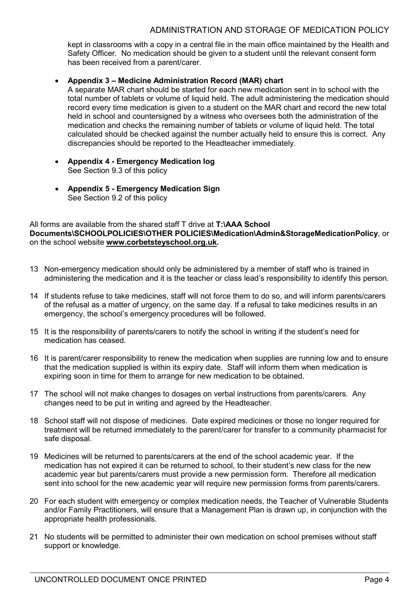kept in classrooms with a copy in a central file in the main office maintained by the Health and Safety Officer. No medication should be given to a student until the relevant consent form has been received from a parent/carer.

## • **Appendix 3 – Medicine Administration Record (MAR) chart**

A separate MAR chart should be started for each new medication sent in to school with the total number of tablets or volume of liquid held. The adult administering the medication should record every time medication is given to a student on the MAR chart and record the new total held in school and countersigned by a witness who oversees both the administration of the medication and checks the remaining number of tablets or volume of liquid held. The total calculated should be checked against the number actually held to ensure this is correct. Any discrepancies should be reported to the Headteacher immediately.

- **Appendix 4 - Emergency Medication log** See Section 9.3 of this policy
- **Appendix 5 - Emergency Medication Sign** See Section 9.2 of this policy

### All forms are available from the shared staff T drive at **T:\AAA School Documents\SCHOOLPOLICIES\OTHER POLICIES\Medication\Admin&StorageMedicationPolicy**, or on the school website **[www.corbetsteyschool.org.uk.](http://www.corbetsteyschool.org.uk/)**

- 13 Non-emergency medication should only be administered by a member of staff who is trained in administering the medication and it is the teacher or class lead's responsibility to identify this person.
- 14 If students refuse to take medicines, staff will not force them to do so, and will inform parents/carers of the refusal as a matter of urgency, on the same day. If a refusal to take medicines results in an emergency, the school's emergency procedures will be followed.
- 15 It is the responsibility of parents/carers to notify the school in writing if the student's need for medication has ceased.
- 16 It is parent/carer responsibility to renew the medication when supplies are running low and to ensure that the medication supplied is within its expiry date. Staff will inform them when medication is expiring soon in time for them to arrange for new medication to be obtained.
- 17 The school will not make changes to dosages on verbal instructions from parents/carers. Any changes need to be put in writing and agreed by the Headteacher.
- 18 School staff will not dispose of medicines. Date expired medicines or those no longer required for treatment will be returned immediately to the parent/carer for transfer to a community pharmacist for safe disposal.
- 19 Medicines will be returned to parents/carers at the end of the school academic year. If the medication has not expired it can be returned to school, to their student's new class for the new academic year but parents/carers must provide a new permission form. Therefore all medication sent into school for the new academic year will require new permission forms from parents/carers.
- 20 For each student with emergency or complex medication needs, the Teacher of Vulnerable Students and/or Family Practitioners, will ensure that a Management Plan is drawn up, in conjunction with the appropriate health professionals.
- 21 No students will be permitted to administer their own medication on school premises without staff support or knowledge.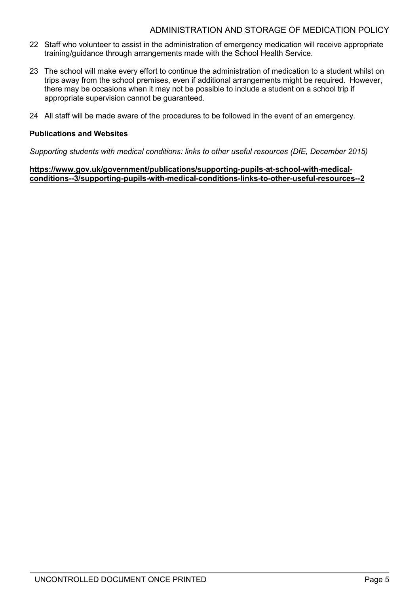- 22 Staff who volunteer to assist in the administration of emergency medication will receive appropriate training/guidance through arrangements made with the School Health Service.
- 23 The school will make every effort to continue the administration of medication to a student whilst on trips away from the school premises, even if additional arrangements might be required. However, there may be occasions when it may not be possible to include a student on a school trip if appropriate supervision cannot be guaranteed.
- 24 All staff will be made aware of the procedures to be followed in the event of an emergency.

### **Publications and Websites**

*Supporting students with medical conditions: links to other useful resources (DfE, December 2015)*

**[https://www.gov.uk/government/publications/supporting-pupils-at-school-with-medical](https://www.gov.uk/government/publications/supporting-pupils-at-school-with-medical-conditions--3/supporting-pupils-with-medical-conditions-links-to-other-useful-resources--2)[conditions--3/supporting-pupils-with-medical-conditions-links-to-other-useful-resources--2](https://www.gov.uk/government/publications/supporting-pupils-at-school-with-medical-conditions--3/supporting-pupils-with-medical-conditions-links-to-other-useful-resources--2)**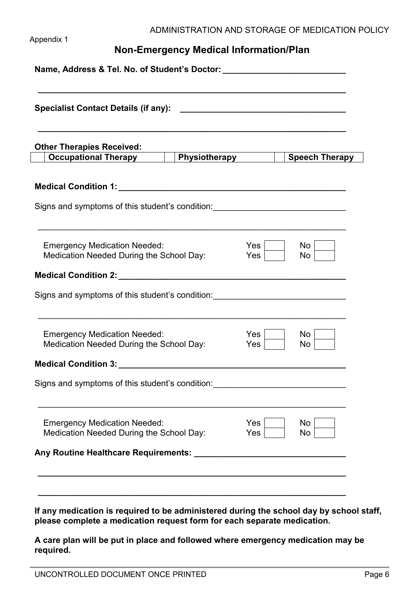#### Appendix 1

# **Non-Emergency Medical Information/Plan**

| <b>Other Therapies Received:</b><br>Occupational Therapy   Physiotherapy   Speech Therapy                   |                          |            |
|-------------------------------------------------------------------------------------------------------------|--------------------------|------------|
|                                                                                                             |                          |            |
| Signs and symptoms of this student's condition: ________________________________                            |                          |            |
| <b>Emergency Medication Needed:</b><br>Medication Needed During the School Day:                             | Yes <br>Yes <sub>1</sub> | No l<br>No |
|                                                                                                             |                          |            |
| Signs and symptoms of this student's condition: ________________________________                            |                          |            |
| <b>Emergency Medication Needed:</b><br>Medication Needed During the School Day:                             | Yes<br>Yes               | No<br>No   |
|                                                                                                             |                          |            |
| Signs and symptoms of this student's condition: <b>Constanting the symptoms of this student's condition</b> |                          |            |
| <b>Emergency Medication Needed:</b><br>Medication Needed During the School Day:                             | Yes<br>Yes               | No<br>No   |
|                                                                                                             |                          |            |

**If any medication is required to be administered during the school day by school staff, please complete a medication request form for each separate medication.** 

**A care plan will be put in place and followed where emergency medication may be required.**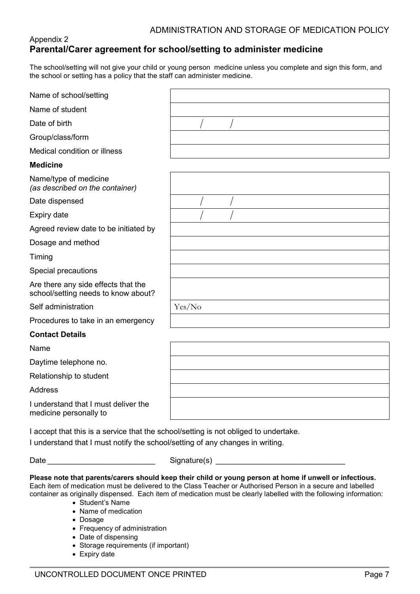# Appendix 2 **Parental/Carer agreement for school/setting to administer medicine**

The school/setting will not give your child or young person medicine unless you complete and sign this form, and the school or setting has a policy that the staff can administer medicine.

| Name of school/setting                                                               |        |
|--------------------------------------------------------------------------------------|--------|
| Name of student                                                                      |        |
| Date of birth                                                                        |        |
| Group/class/form                                                                     |        |
| Medical condition or illness                                                         |        |
| <b>Medicine</b>                                                                      |        |
| Name/type of medicine<br>(as described on the container)                             |        |
| Date dispensed                                                                       |        |
| Expiry date                                                                          |        |
| Agreed review date to be initiated by                                                |        |
| Dosage and method                                                                    |        |
| Timing                                                                               |        |
| Special precautions                                                                  |        |
| Are there any side effects that the<br>school/setting needs to know about?           |        |
| Self administration                                                                  | Yes/No |
| Procedures to take in an emergency                                                   |        |
| <b>Contact Details</b>                                                               |        |
| Name                                                                                 |        |
| Daytime telephone no.                                                                |        |
| Relationship to student                                                              |        |
| <b>Address</b>                                                                       |        |
| I understand that I must deliver the<br>medicine personally to                       |        |
| I accept that this is a service that the school/setting is not obliged to undertake. |        |

I understand that I must notify the school/setting of any changes in writing.

Date \_\_\_\_\_\_\_\_\_\_\_\_\_\_\_\_\_\_\_\_\_\_\_\_\_ Signature(s) \_\_\_\_\_\_\_\_\_\_\_\_\_\_\_\_\_\_\_\_\_\_\_\_\_\_\_\_\_\_

**Please note that parents/carers should keep their child or young person at home if unwell or infectious.** Each item of medication must be delivered to the Class Teacher or Authorised Person in a secure and labelled container as originally dispensed. Each item of medication must be clearly labelled with the following information:

- Student's Name
- Name of medication
- Dosage
- Frequency of administration
- Date of dispensing
- Storage requirements (if important)
- Expiry date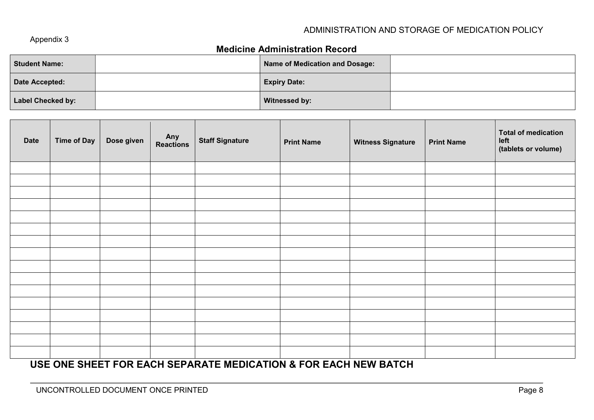### Appendix 3

# **Medicine Administration Record**

| <b>Student Name:</b> | Name of Medication and Dosage: |  |
|----------------------|--------------------------------|--|
| Date Accepted:       | <b>Expiry Date:</b>            |  |
| Label Checked by:    | <b>Witnessed by:</b>           |  |

| <b>Date</b> | Time of Day | Dose given | Any<br>Reactions | <b>Staff Signature</b> | <b>Print Name</b> | <b>Witness Signature</b> | <b>Print Name</b> | <b>Total of medication</b><br>left<br>(tablets or volume) |
|-------------|-------------|------------|------------------|------------------------|-------------------|--------------------------|-------------------|-----------------------------------------------------------|
|             |             |            |                  |                        |                   |                          |                   |                                                           |
|             |             |            |                  |                        |                   |                          |                   |                                                           |
|             |             |            |                  |                        |                   |                          |                   |                                                           |
|             |             |            |                  |                        |                   |                          |                   |                                                           |
|             |             |            |                  |                        |                   |                          |                   |                                                           |
|             |             |            |                  |                        |                   |                          |                   |                                                           |
|             |             |            |                  |                        |                   |                          |                   |                                                           |
|             |             |            |                  |                        |                   |                          |                   |                                                           |
|             |             |            |                  |                        |                   |                          |                   |                                                           |
|             |             |            |                  |                        |                   |                          |                   |                                                           |
|             |             |            |                  |                        |                   |                          |                   |                                                           |
|             |             |            |                  |                        |                   |                          |                   |                                                           |
|             |             |            |                  |                        |                   |                          |                   |                                                           |
|             |             |            |                  |                        |                   |                          |                   |                                                           |
|             |             |            |                  |                        |                   |                          |                   |                                                           |
|             |             |            |                  |                        |                   |                          |                   |                                                           |

# **USE ONE SHEET FOR EACH SEPARATE MEDICATION & FOR EACH NEW BATCH**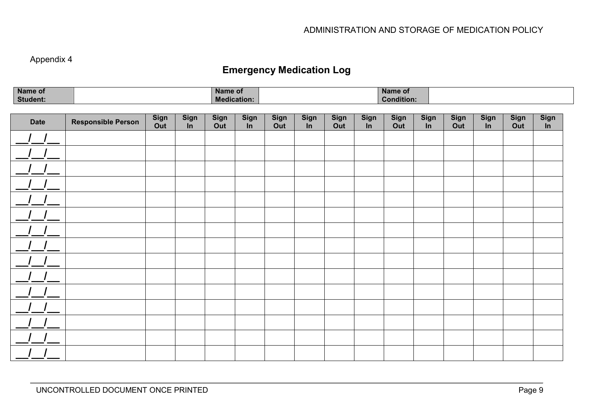# Appendix 4

# **Emergency Medication Log**

| Name of         | Name of            | Name of           |  |
|-----------------|--------------------|-------------------|--|
| <b>Student:</b> | <b>Medication.</b> | <b>Condition:</b> |  |

| <b>Date</b> | <b>Responsible Person</b> | Sign<br>Out | <b>Sign</b><br>In | <b>Sign</b><br>Out | <b>Sign</b><br>$\overline{\mathsf{In}}$ | <b>Sign</b><br>Out | <b>Sign</b><br>In | <b>Sign</b><br>Out | <b>Sign</b><br>In | Sign<br>Out | <b>Sign</b><br>In | <b>Sign</b><br>Out | <b>Sign</b><br>In | <b>Sign</b><br>Out | Sign<br>$\overline{\mathsf{In}}$ |
|-------------|---------------------------|-------------|-------------------|--------------------|-----------------------------------------|--------------------|-------------------|--------------------|-------------------|-------------|-------------------|--------------------|-------------------|--------------------|----------------------------------|
|             |                           |             |                   |                    |                                         |                    |                   |                    |                   |             |                   |                    |                   |                    |                                  |
|             |                           |             |                   |                    |                                         |                    |                   |                    |                   |             |                   |                    |                   |                    |                                  |
|             |                           |             |                   |                    |                                         |                    |                   |                    |                   |             |                   |                    |                   |                    |                                  |
|             |                           |             |                   |                    |                                         |                    |                   |                    |                   |             |                   |                    |                   |                    |                                  |
|             |                           |             |                   |                    |                                         |                    |                   |                    |                   |             |                   |                    |                   |                    |                                  |
|             |                           |             |                   |                    |                                         |                    |                   |                    |                   |             |                   |                    |                   |                    |                                  |
|             |                           |             |                   |                    |                                         |                    |                   |                    |                   |             |                   |                    |                   |                    |                                  |
|             |                           |             |                   |                    |                                         |                    |                   |                    |                   |             |                   |                    |                   |                    |                                  |
|             |                           |             |                   |                    |                                         |                    |                   |                    |                   |             |                   |                    |                   |                    |                                  |
|             |                           |             |                   |                    |                                         |                    |                   |                    |                   |             |                   |                    |                   |                    |                                  |
|             |                           |             |                   |                    |                                         |                    |                   |                    |                   |             |                   |                    |                   |                    |                                  |
|             |                           |             |                   |                    |                                         |                    |                   |                    |                   |             |                   |                    |                   |                    |                                  |
|             |                           |             |                   |                    |                                         |                    |                   |                    |                   |             |                   |                    |                   |                    |                                  |
|             |                           |             |                   |                    |                                         |                    |                   |                    |                   |             |                   |                    |                   |                    |                                  |
|             |                           |             |                   |                    |                                         |                    |                   |                    |                   |             |                   |                    |                   |                    |                                  |